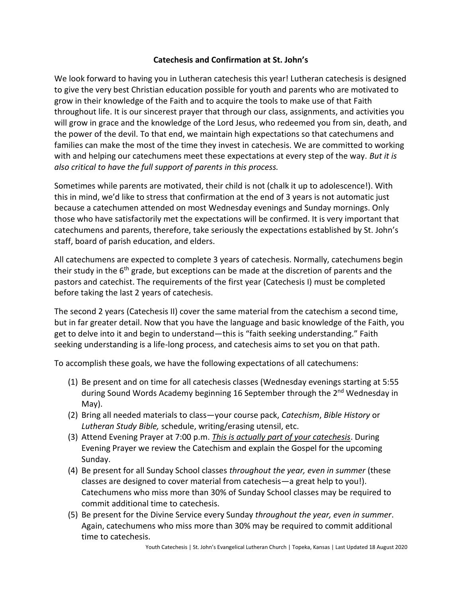## **Catechesis and Confirmation at St. John's**

We look forward to having you in Lutheran catechesis this year! Lutheran catechesis is designed to give the very best Christian education possible for youth and parents who are motivated to grow in their knowledge of the Faith and to acquire the tools to make use of that Faith throughout life. It is our sincerest prayer that through our class, assignments, and activities you will grow in grace and the knowledge of the Lord Jesus, who redeemed you from sin, death, and the power of the devil. To that end, we maintain high expectations so that catechumens and families can make the most of the time they invest in catechesis. We are committed to working with and helping our catechumens meet these expectations at every step of the way. *But it is also critical to have the full support of parents in this process.*

Sometimes while parents are motivated, their child is not (chalk it up to adolescence!). With this in mind, we'd like to stress that confirmation at the end of 3 years is not automatic just because a catechumen attended on most Wednesday evenings and Sunday mornings. Only those who have satisfactorily met the expectations will be confirmed. It is very important that catechumens and parents, therefore, take seriously the expectations established by St. John's staff, board of parish education, and elders.

All catechumens are expected to complete 3 years of catechesis. Normally, catechumens begin their study in the  $6<sup>th</sup>$  grade, but exceptions can be made at the discretion of parents and the pastors and catechist. The requirements of the first year (Catechesis I) must be completed before taking the last 2 years of catechesis.

The second 2 years (Catechesis II) cover the same material from the catechism a second time, but in far greater detail. Now that you have the language and basic knowledge of the Faith, you get to delve into it and begin to understand—this is "faith seeking understanding." Faith seeking understanding is a life-long process, and catechesis aims to set you on that path.

To accomplish these goals, we have the following expectations of all catechumens:

- (1) Be present and on time for all catechesis classes (Wednesday evenings starting at 5:55 during Sound Words Academy beginning 16 September through the 2<sup>nd</sup> Wednesday in May).
- (2) Bring all needed materials to class—your course pack, *Catechism*, *Bible History* or *Lutheran Study Bible,* schedule, writing/erasing utensil, etc.
- (3) Attend Evening Prayer at 7:00 p.m. *This is actually part of your catechesis*. During Evening Prayer we review the Catechism and explain the Gospel for the upcoming Sunday.
- (4) Be present for all Sunday School classes *throughout the year, even in summer* (these classes are designed to cover material from catechesis—a great help to you!). Catechumens who miss more than 30% of Sunday School classes may be required to commit additional time to catechesis.
- (5) Be present for the Divine Service every Sunday *throughout the year, even in summer*. Again, catechumens who miss more than 30% may be required to commit additional time to catechesis.